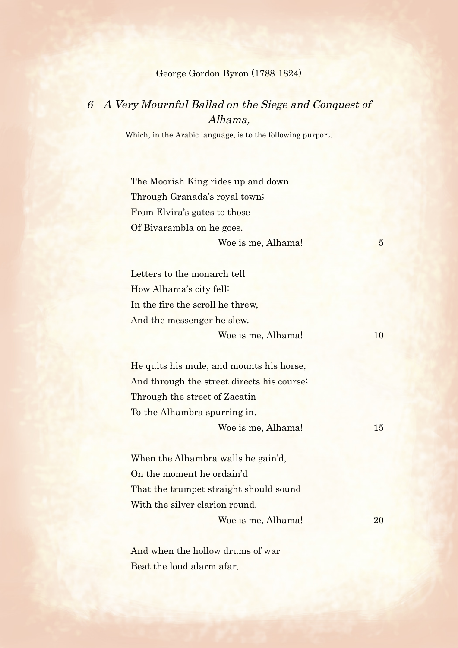## George Gordon Byron (1788-1824)

## 6 A Very Mournful Ballad on the Siege and Conquest of Alhama,

Which, in the Arabic language, is to the following purport.

The Moorish King rides up and down Through Granada's royal town; From Elvira's gates to those Of Bivarambla on he goes. Woe is me, Alhama! 5 Letters to the monarch tell How Alhama's city fell: In the fire the scroll he threw, And the messenger he slew. Woe is me, Alhama! 10 He quits his mule, and mounts his horse, And through the street directs his course; Through the street of Zacatin To the Alhambra spurring in. Woe is me, Alhama! 15 When the Alhambra walls he gain'd, On the moment he ordain'd That the trumpet straight should sound With the silver clarion round. Woe is me, Alhama! 20

And when the hollow drums of war Beat the loud alarm afar,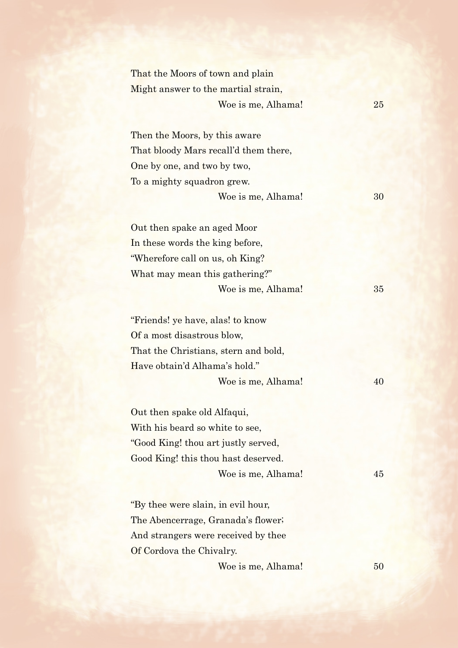| That the Moors of town and plain    |                                       |    |
|-------------------------------------|---------------------------------------|----|
|                                     | Might answer to the martial strain,   |    |
|                                     | Woe is me, Alhama!                    | 25 |
| Then the Moors, by this aware       |                                       |    |
|                                     | That bloody Mars recall'd them there, |    |
| One by one, and two by two,         |                                       |    |
| To a mighty squadron grew.          |                                       |    |
|                                     | Woe is me, Alhama!                    | 30 |
| Out then spake an aged Moor         |                                       |    |
| In these words the king before,     |                                       |    |
| "Wherefore call on us, oh King?     |                                       |    |
| What may mean this gathering?"      |                                       |    |
|                                     | Woe is me, Alhama!                    | 35 |
| "Friends! ye have, alas! to know    |                                       |    |
| Of a most disastrous blow,          |                                       |    |
|                                     | That the Christians, stern and bold,  |    |
| Have obtain'd Alhama's hold."       |                                       |    |
|                                     | Woe is me, Alhama!                    | 40 |
| Out then spake old Alfaqui,         |                                       |    |
| With his beard so white to see,     |                                       |    |
| "Good King! thou art justly served, |                                       |    |
|                                     | Good King! this thou hast deserved.   |    |
|                                     | Woe is me, Alhama!                    | 45 |
| "By thee were slain, in evil hour,  |                                       |    |
|                                     | The Abencerrage, Granada's flower;    |    |
|                                     | And strangers were received by thee   |    |
| Of Cordova the Chivalry.            |                                       |    |

Woe is me, Alhama! 50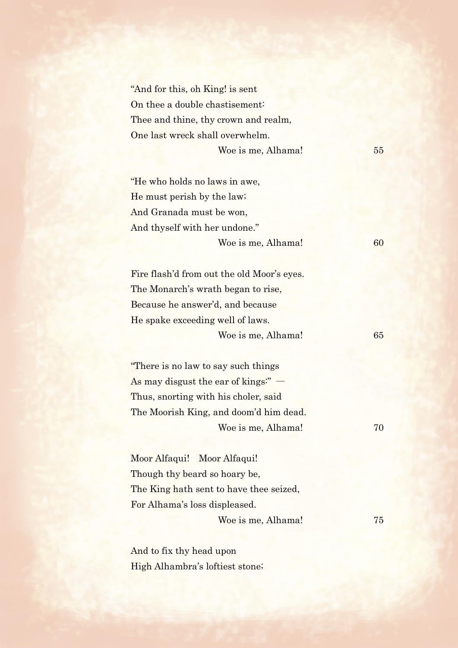"And for this, oh King! is sent On thee a double chastisement: Thee and thine, thy crown and realm, One last wreck shall overwhelm. Woe is me, Alhama! 55

"He who holds no laws in awe, He must perish by the law; And Granada must be won, And thyself with her undone." Woe is me, Alhama! 60

Fire flash'd from out the old Moor's eyes. The Monarch's wrath began to rise, Because he answer'd, and because He spake exceeding well of laws. Woe is me, Alhama! 65

"There is no law to say such things As may disgust the ear of kings:"  $-$ Thus, snorting with his choler, said The Moorish King, and doom'd him dead. Woe is me, Alhama! 70

Moor Alfaqui! Moor Alfaqui! Though thy beard so hoary be, The King hath sent to have thee seized, For Alhama's loss displeased. Woe is me, Alhama! 75

And to fix thy head upon High Alhambra's loftiest stone;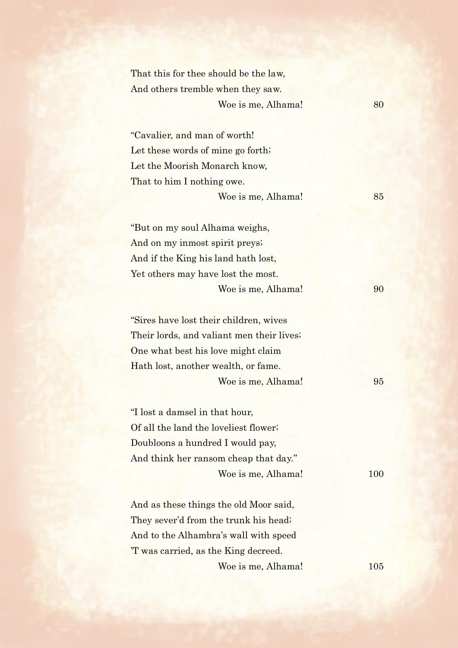| That this for thee should be the law, |    |
|---------------------------------------|----|
| And others tremble when they saw.     |    |
| Woe is me, Alhama!                    | 80 |

Woe is me, Alhama! 85

Woe is me, Alhama! 90

"Cavalier, and man of worth! Let these words of mine go forth; Let the Moorish Monarch know, That to him I nothing owe.

"But on my soul Alhama weighs, And on my inmost spirit preys; And if the King his land hath lost, Yet others may have lost the most.

"Sires have lost their children, wives Their lords, and valiant men their lives; One what best his love might claim Hath lost, another wealth, or fame. Woe is me, Alhama! 95

"I lost a damsel in that hour, Of all the land the loveliest flower; Doubloons a hundred I would pay, And think her ransom cheap that day." Woe is me, Alhama! 100

And as these things the old Moor said, They sever'd from the trunk his head; And to the Alhambra's wall with speed 'T was carried, as the King decreed. Woe is me, Alhama! 105